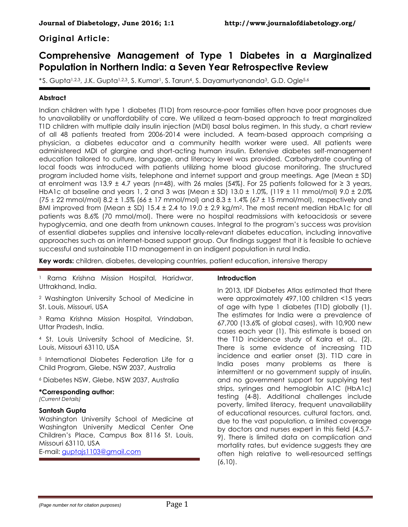# **Original Article:**

# **Comprehensive Management of Type 1 Diabetes in a Marginalized Population in Northern India: a Seven Year Retrospective Review**

\*S. Gupta<sup>1,2,3</sup>, J.K. Gupta<sup>1,2,3</sup>, S. Kumar<sup>1</sup>, S. Tarun<sup>4</sup>, S. Dayamurtyananda<sup>3</sup>, G.D. Ogle<sup>5,6</sup>

# **Abstract**

Indian children with type 1 diabetes (T1D) from resource-poor families often have poor prognoses due to unavailability or unaffordability of care. We utilized a team-based approach to treat marginalized T1D children with multiple daily insulin injection (MDI) basal bolus regimen. In this study, a chart review of all 48 patients treated from 2006-2014 were included. A team-based approach comprising a physician, a diabetes educator and a community health worker were used. All patients were administered MDI of glargine and short-acting human insulin. Extensive diabetes self-management education tailored to culture, language, and literacy level was provided. Carbohydrate counting of local foods was introduced with patients utilizing home blood glucose monitoring. The structured program included home visits, telephone and internet support and group meetings. Age (Mean ± SD) at enrolment was 13.9  $\pm$  4.7 years (n=48), with 26 males (54%). For 25 patients followed for  $\geq$  3 years, HbA1c at baseline and years 1, 2 and 3 was (Mean  $\pm$  SD) 13.0  $\pm$  1.0%, (119  $\pm$  11 mmol/mol) 9.0  $\pm$  2.0% (75  $\pm$  22 mmol/mol) 8.2  $\pm$  1.5% (66  $\pm$  17 mmol/mol) and 8.3  $\pm$  1.4% (67  $\pm$  15 mmol/mol), respectively and BMI improved from (Mean  $\pm$  SD) 15.4  $\pm$  2.4 to 19.0  $\pm$  2.9 kg/m<sup>2</sup>. The most recent median HbA1c for all patients was 8.6% (70 mmol/mol). There were no hospital readmissions with ketoacidosis or severe hypoglycemia, and one death from unknown causes. Integral to the program's success was provision of essential diabetes supplies and intensive locally-relevant diabetes education, including innovative approaches such as an internet-based support group. Our findings suggest that it is feasible to achieve successful and sustainable T1D management in an indigent population in rural India.

**Key words:** children, diabetes, developing countries, patient education, intensive therapy

<sup>1</sup> Rama Krishna Mission Hospital, Haridwar, Uttrakhand, India.

<sup>2</sup> Washington University School of Medicine in St. Louis, Missouri, USA

<sup>3</sup> Rama Krishna Mission Hospital, Vrindaban, Uttar Pradesh, India.

<sup>4</sup> St. Louis University School of Medicine, St. Louis, Missouri 63110, USA

<sup>5</sup> International Diabetes Federation Life for a Child Program, Glebe, NSW 2037, Australia

<sup>6</sup> Diabetes NSW, Glebe, NSW 2037, Australia

#### **\*Corresponding author:**

*(Current Details)*

#### **Santosh Gupta**

Washington University School of Medicine at Washington University Medical Center One Children's Place, Campus Box 8116 St. Louis, Missouri 63110, USA

E-mail: [guptajs1103@gmail.com](mailto:guptajs1103@gmail.com)

### **Introduction**

In 2013, IDF Diabetes Atlas estimated that there were approximately 497,100 children <15 years of age with type 1 diabetes (T1D) globally (1). The estimates for India were a prevalence of 67,700 (13.6% of global cases), with 10,900 new cases each year (1). This estimate is based on the T1D incidence study of Kalra et al., (2). There is some evidence of increasing T1D incidence and earlier onset (3). T1D care in India poses many problems as there is intermittent or no government supply of insulin, and no government support for supplying test strips, syringes and hemoglobin A1C (HbA1c) testing (4-8). Additional challenges include poverty, limited literacy, frequent unavailability of educational resources, cultural factors, and, due to the vast population, a limited coverage by doctors and nurses expert in this field (4,5,7- 9). There is limited data on complication and mortality rates, but evidence suggests they are often high relative to well-resourced settings (6,10).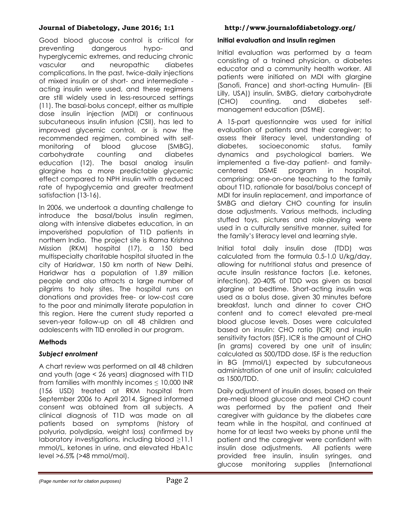Good blood glucose control is critical for preventing dangerous hypo- and hyperglycemic extremes, and reducing chronic vascular and neuropathic diabetes complications. In the past, twice-daily injections of mixed insulin or of short- and intermediate acting insulin were used, and these regimens are still widely used in less-resourced settings (11). The basal-bolus concept, either as multiple dose insulin injection (MDI) or continuous subcutaneous insulin infusion (CSII), has led to improved glycemic control, or is now the recommended regimen, combined with selfmonitoring of blood glucose (SMBG), carbohydrate counting and diabetes education (12). The basal analog insulin glargine has a more predictable glycemic effect compared to NPH insulin with a reduced rate of hypoglycemia and greater treatment satisfaction (13-16).

In 2006, we undertook a daunting challenge to introduce the basal/bolus insulin regimen, along with intensive diabetes education, in an impoverished population of T1D patients in northern India. The project site is Rama Krishna Mission (RKM) hospital (17), a 150 bed multispecialty charitable hospital situated in the city of Haridwar, 150 km north of New Delhi. Haridwar has a population of 1.89 million people and also attracts a large number of pilgrims to holy sites. The hospital runs on donations and provides free- or low-cost care to the poor and minimally literate population in this region. Here the current study reported a seven-year follow-up on all 48 children and adolescents with TID enrolled in our program.

# **Methods**

### *Subject enrolment*

A chart review was performed on all 48 children and youth (age < 26 years) diagnosed with T1D from families with monthly incomes  $\leq$  10,000 INR (156 USD) treated at RKM hospital from September 2006 to April 2014. Signed informed consent was obtained from all subjects. A clinical diagnosis of T1D was made on all patients based on symptoms (history of polyuria, polydipsia, weight loss) confirmed by laboratory investigations, including blood ≥11.1 mmol/L, ketones in urine, and elevated HbA1c level >6.5% (>48 mmol/mol).

# **Initial evaluation and insulin regimen**

Initial evaluation was performed by a team consisting of a trained physician, a diabetes educator and a community health worker. All patients were initiated on MDI with glargine (Sanofi, France) and short-acting Humulin- (Eli Lilly, USA)) insulin, SMBG, dietary carbohydrate (CHO) counting, and diabetes selfmanagement education (DSME).

A 15-part questionnaire was used for initial evaluation of patients and their caregiver; to assess their literacy level, understanding of diabetes, socioeconomic status, family dynamics and psychological barriers. We implemented a five-day patient- and familycentered DSME program in hospital, comprising: one-on-one teaching to the family about T1D, rationale for basal/bolus concept of MDI for insulin replacement, and importance of SMBG and dietary CHO counting for insulin dose adjustments. Various methods, including stuffed toys, pictures and role-playing were used in a culturally sensitive manner, suited for the family's literacy level and learning style.

Initial total daily insulin dose (TDD) was calculated from the formula 0.5-1.0 U/kg/day, allowing for nutritional status and presence of acute insulin resistance factors (i.e. ketones, infection). 20-40% of TDD was given as basal glargine at bedtime. Short-acting insulin was used as a bolus dose, given 30 minutes before breakfast, lunch and dinner to cover CHO content and to correct elevated pre-meal blood glucose levels. Doses were calculated based on insulin: CHO ratio (ICR) and insulin sensitivity factors (ISF). ICR is the amount of CHO (in grams) covered by one unit of insulin; calculated as 500/TDD dose. ISF is the reduction in BG (mmol/L) expected by subcutaneous administration of one unit of insulin; calculated as 1500/TDD.

Daily adjustment of insulin doses, based on their pre-meal blood glucose and meal CHO count was performed by the patient and their caregiver with guidance by the diabetes care team while in the hospital, and continued at home for at least two weeks by phone until the patient and the caregiver were confident with insulin dose adjustments. All patients were provided free insulin, insulin syringes, and glucose monitoring supplies (International

*<sup>(</sup>Page number not for citation purposes)* Page 2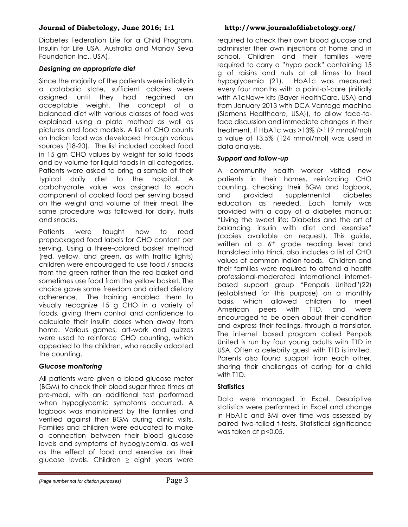Diabetes Federation Life for a Child Program, Insulin for Life USA, Australia and Manav Seva Foundation Inc., USA).

#### *Designing an appropriate diet*

Since the majority of the patients were initially in a catabolic state, sufficient calories were assigned until they had regained an acceptable weight. The concept of a balanced diet with various classes of food was explained using a plate method as well as pictures and food models. A list of CHO counts on Indian food was developed through various sources (18-20). The list included cooked food in 15 gm CHO values by weight for solid foods and by volume for liquid foods in all categories. Patients were asked to bring a sample of their typical daily diet to the hospital. A carbohydrate value was assigned to each component of cooked food per serving based on the weight and volume of their meal. The same procedure was followed for dairy, fruits and snacks.

Patients were taught how to read prepackaged food labels for CHO content per serving. Using a three-colored basket method (red, yellow, and green, as with traffic lights) children were encouraged to use food / snacks from the green rather than the red basket and sometimes use food from the yellow basket. The choice gave some freedom and aided dietary adherence. The training enabled them to visually recognize 15 g CHO in a variety of foods, giving them control and confidence to calculate their insulin doses when away from home. Various games, art-work and quizzes were used to reinforce CHO counting, which appealed to the children, who readily adopted the counting.

### *Glucose monitoring*

All patients were given a blood glucose meter (BGM) to check their blood sugar three times at pre-meal, with an additional test performed when hypoglycemic symptoms occurred. A logbook was maintained by the families and verified against their BGM during clinic visits. Families and children were educated to make a connection between their blood glucose levels and symptoms of hypoglycemia, as well as the effect of food and exercise on their glucose levels. Children  $\geq$  eight years were

required to check their own blood glucose and administer their own injections at home and in school. Children and their families were required to carry a "hypo pack" containing 15 g of raisins and nuts at all times to treat hypoglycemia (21). HbA1c was measured every four months with a point-of-care (initially with A1cNow+ kits (Bayer HealthCare, USA) and from January 2013 with DCA Vantage machine (Siemens Healthcare, USA)), to allow face-toface discussion and immediate changes in their treatment. If HbA1c was >13% (>119 mmol/mol) a value of 13.5% (124 mmol/mol) was used in data analysis.

#### *Support and follow-up*

A community health worker visited new patients in their homes, reinforcing CHO counting, checking their BGM and logbook, and provided supplemental diabetes education as needed. Each family was provided with a copy of a diabetes manual: "Living the sweet life: Diabetes and the art of balancing insulin with diet and exercise" (copies available on request). This guide, written at a  $6<sup>th</sup>$  grade reading level and translated into Hindi, also includes a list of CHO values of common Indian foods. Children and their families were required to attend a health professional-moderated international internetbased support group "Penpals United"(22) (established for this purpose) on a monthly basis, which allowed children to meet American peers with T1D, and were encouraged to be open about their condition and express their feelings, through a translator. The internet based program called Penpals United is run by four young adults with T1D in USA. Often a celebrity guest with T1D is invited. Parents also found support from each other, sharing their challenges of caring for a child with T1D.

### **Statistics**

Data were managed in Excel. Descriptive statistics were performed in Excel and change in HbA1c and BMI over time was assessed by paired two-tailed t-tests. Statistical significance was taken at p<0.05.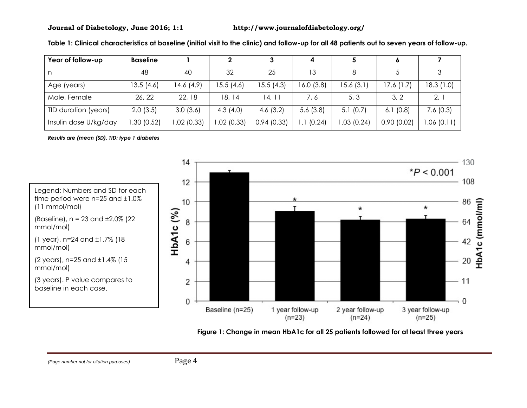| Year of follow-up     | <b>Baseline</b> |            |             |            |           |            |            |           |
|-----------------------|-----------------|------------|-------------|------------|-----------|------------|------------|-----------|
|                       | 48              | 40         | 32          | 25         | 13        |            |            |           |
| Age (years)           | 13.5(4.6)       | 14.6 (4.9) | 15.5 (4.6)  | 15.5 (4.3) | 16.0(3.8) | 15.6(3.1)  | 17.6(1.7)  | 18.3(1.0) |
| Male, Female          | 26, 22          | 22, 18     | 18, 14      | 14.11      | 7, 6      | 5, 3       | 3, 2       | 2,        |
| TID duration (years)  | 2.0(3.5)        | 3.0(3.6)   | 4.3 $(4.0)$ | 4.6(3.2)   | 5.6(3.8)  | 5.1(0.7)   | 6.1(0.8)   | 7.6(0.3)  |
| Insulin dose U/kg/day | .30(0.52)       | 1.02(0.33) | 1.02 (0.33) | 0.94(0.33) | 1.1(0.24) | 1.03(0.24) | 0.90(0.02) | .06(0.11) |

**Table 1: Clinical characteristics at baseline (initial visit to the clinic) and follow-up for all 48 patients out to seven years of follow-up.** 

*Results are (mean (SD), TID: type 1 diabetes*



**Figure 1: Change in mean HbA1c for all 25 patients followed for at least three years**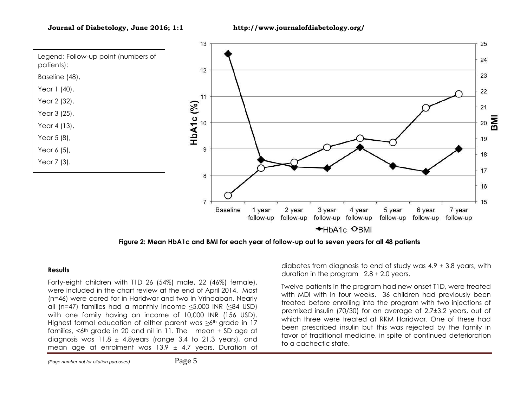

**Figure 2: Mean HbA1c and BMI for each year of follow-up out to seven years for all 48 patients**

#### **Results**

Forty-eight children with T1D 26 (54%) male, 22 (46%) female), were included in the chart review at the end of April 2014. Most (n=46) were cared for in Haridwar and two in Vrindaban. Nearly all (n=47) families had a monthly income  $\leq$ 5,000 INR ( $\leq$ 84 USD) with one family having an income of 10,000 INR (156 USD). Highest formal education of either parent was  $\geq 6$ <sup>th</sup> grade in 17 families,  $<6$ <sup>th</sup> grade in 20 and nil in 11. The mean  $\pm$  SD age at diagnosis was  $11.8 \pm 4.8$ years (range 3.4 to 21.3 years), and mean age at enrolment was 13.9  $\pm$  4.7 years. Duration of

*(Page number not for citation purposes)* Page 5

diabetes from diagnosis to end of study was  $4.9 \pm 3.8$  years, with duration in the program  $2.8 \pm 2.0$  years.

Twelve patients in the program had new onset T1D, were treated with MDI with in four weeks. 36 children had previously been treated before enrolling into the program with two injections of premixed insulin (70/30) for an average of 2.7±3.2 years, out of which three were treated at RKM Haridwar. One of these had been prescribed insulin but this was rejected by the family in favor of traditional medicine, in spite of continued deterioration to a cachectic state.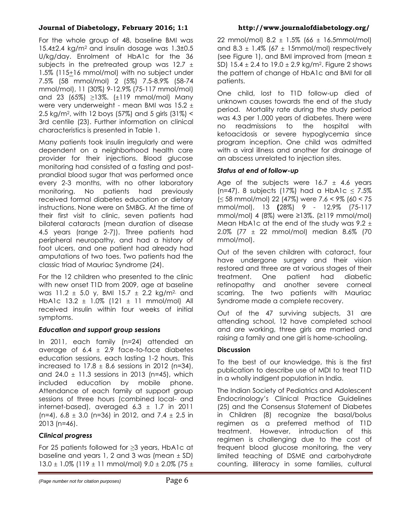For the whole group of 48, baseline BMI was 15.4±2.4 kg/m2 and insulin dosage was 1.3±0.5 U/kg/day. Enrolment of HbA1c for the 36 subjects in the pretreated group was 12.7  $\pm$ 1.5% (115+16 mmol/mol) with no subject under 7.5% (58 mmol/mol) 2 (5%) 7.5-8.9% (58-74 mmol/mol), 11 (30%) 9-12.9% (75-117 mmol/mol) and 23 (65%)  $\geq$ 13%. ( $\pm$ 119 mmol/mol) Many were very underweight - mean BMI was  $15.2 \pm$ 2.5 kg/m2, with 12 boys (57%) and 5 girls (31%) < 3rd centile (23). Further information on clinical characteristics is presented in Table 1.

Many patients took insulin irregularly and were dependent on a neighborhood health care provider for their injections. Blood glucose monitoring had consisted of a fasting and postprandial blood sugar that was performed once every 2-3 months, with no other laboratory monitoring. No patients had previously received formal diabetes education or dietary instructions. None were on SMBG. At the time of their first visit to clinic, seven patients had bilateral cataracts (mean duration of disease 4.5 years (range 2-7)). Three patients had peripheral neuropathy, and had a history of foot ulcers, and one patient had already had amputations of two toes. Two patients had the classic triad of Mauriac Syndrome (24).

For the 12 children who presented to the clinic with new onset T1D from 2009, age at baseline was 11.2  $\pm$  5.0 y, BMI 15.7  $\pm$  2.2 kg/m<sup>2,</sup> and HbA1c  $13.2 \pm 1.0\%$  (121  $\pm$  11 mmol/mol) All received insulin within four weeks of initial symptoms.

# *Education and support group sessions*

In 2011, each family (n=24) attended an average of  $6.4 \pm 2.9$  face-to-face diabetes education sessions, each lasting 1-2 hours. This increased to  $17.8 \pm 8.6$  sessions in 2012 (n=34), and 24.0  $\pm$  11.3 sessions in 2013 (n=45), which included education by mobile phone. Attendance of each family at support group sessions of three hours (combined local- and internet-based), averaged  $6.3 \pm 1.7$  in 2011 (n=4),  $6.8 \pm 3.0$  (n=36) in 2012, and 7.4  $\pm$  2.5 in 2013 (n=46).

# *Clinical progress*

For 25 patients followed for ≥3 years, HbA1c at baseline and years 1, 2 and 3 was (mean  $\pm$  SD)  $13.0 \pm 1.0\%$  (119  $\pm$  11 mmol/mol) 9.0  $\pm$  2.0% (75  $\pm$ 

22 mmol/mol)  $8.2 \pm 1.5\%$  (66  $\pm$  16.5mmol/mol) and 8.3  $\pm$  1.4% (67  $\pm$  15mmol/mol) respectively (see Figure 1), and BMI improved from (mean ± SD) 15.4  $\pm$  2.4 to 19.0  $\pm$  2.9 kg/m<sup>2</sup>. Figure 2 shows the pattern of change of HbA1c and BMI for all patients.

One child, lost to T1D follow-up died of unknown causes towards the end of the study period. Mortality rate during the study period was 4.3 per 1,000 years of diabetes. There were no readmissions to the hospital with ketoacidosis or severe hypoglycemia since program inception. One child was admitted with a viral illness and another for drainage of an abscess unrelated to injection sites.

# *Status at end of follow-up*

Age of the subjects were  $16.7 \pm 4.6$  years (n=47). 8 subjects (17%) had a HbA1c  $\leq 7.5\%$ (≤ 58 mmol/mol) 22 (47%) were 7.6 < 9% (60 < 75 mmol/mol), 13 **(**28%) 9 - 12.9% (75-117 mmol/mol) 4 (8%) were ≥13%. (≥119 mmol/mol) Mean HbA1c at the end of the study was  $9.2 \pm$ 2.0% (77 ± 22 mmol/mol) median 8.6% (70 mmol/mol).

Out of the seven children with cataract, four have undergone surgery and their vision restored and three are at various stages of their treatment. One patient had diabetic retinopathy and another severe corneal scarring. The two patients with Mauriac Syndrome made a complete recovery.

Out of the 47 surviving subjects, 31 are attending school, 12 have completed school and are working, three girls are married and raising a family and one girl is home-schooling.

# **Discussion**

To the best of our knowledge, this is the first publication to describe use of MDI to treat T1D in a wholly indigent population in India.

The Indian Society of Pediatrics and Adolescent Endocrinology's Clinical Practice Guidelines (25) and the Consensus Statement of Diabetes in Children (8) recognize the basal/bolus regimen as a preferred method of T1D treatment. However, introduction of this regimen is challenging due to the cost of frequent blood glucose monitoring, the very limited teaching of DSME and carbohydrate counting, illiteracy in some families, cultural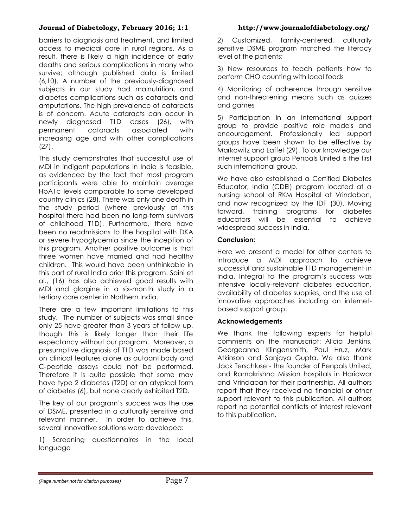barriers to diagnosis and treatment, and limited access to medical care in rural regions. As a result, there is likely a high incidence of early deaths and serious complications in many who survive; although published data is limited (6,10). A number of the previously-diagnosed subjects in our study had malnutrition, and diabetes complications such as cataracts and amputations. The high prevalence of cataracts is of concern. Acute cataracts can occur in newly diagnosed T1D cases (26), with permanent cataracts associated with increasing age and with other complications (27).

This study demonstrates that successful use of MDI in indigent populations in India is feasible, as evidenced by the fact that most program participants were able to maintain average HbA1c levels comparable to some developed country clinics (28). There was only one death in the study period (where previously at this hospital there had been no long-term survivors of childhood T1D). Furthermore, there have been no readmissions to the hospital with DKA or severe hypoglycemia since the inception of this program. Another positive outcome is that three women have married and had healthy children. This would have been unthinkable in this part of rural India prior this program. Saini et al., (16) has also achieved good results with MDI and glargine in a six-month study in a tertiary care center in Northern India.

There are a few important limitations to this study. The number of subjects was small since only 25 have greater than 3 years of follow up, though this is likely longer than their life expectancy without our program. Moreover, a presumptive diagnosis of T1D was made based on clinical features alone as autoantibody and C-peptide assays could not be performed. Therefore it is quite possible that some may have type 2 diabetes (T2D) or an atypical form of diabetes (6), but none clearly exhibited T2D.

The key of our program's success was the use of DSME, presented in a culturally sensitive and relevant manner. In order to achieve this, several innovative solutions were developed:

1) Screening questionnaires in the local language

2) Customized, family-centered, culturally sensitive DSME program matched the literacy level of the patients;

3) New resources to teach patients how to perform CHO counting with local foods

4) Monitoring of adherence through sensitive and non-threatening means such as quizzes and games

5) Participation in an international support group to provide positive role models and encouragement. Professionally led support groups have been shown to be effective by Markowitz and Laffel (29). To our knowledge our internet support group Penpals United is the first such international group.

We have also established a Certified Diabetes Educator, India (CDEI) program located at a nursing school of RKM Hospital at Vrindaban, and now recognized by the IDF (30). Moving forward, training programs for diabetes educators will be essential to achieve widespread success in India.

#### **Conclusion:**

Here we present a model for other centers to introduce a MDI approach to achieve successful and sustainable T1D management in India. Integral to the program's success was intensive locally-relevant diabetes education, availability of diabetes supplies, and the use of innovative approaches including an internetbased support group.

#### **Acknowledgements**

We thank the following experts for helpful comments on the manuscript: Alicia Jenkins, Georgeanna Klingensmith, Paul Hruz, Mark Atkinson and Sanjaya Gupta. We also thank Jack Terschluse - the founder of Penpals United, and Ramakrishna Mission hospitals in Haridwar and Vrindaban for their partnership. All authors report that they received no financial or other support relevant to this publication. All authors report no potential conflicts of interest relevant to this publication.

*<sup>(</sup>Page number not for citation purposes)* Page 7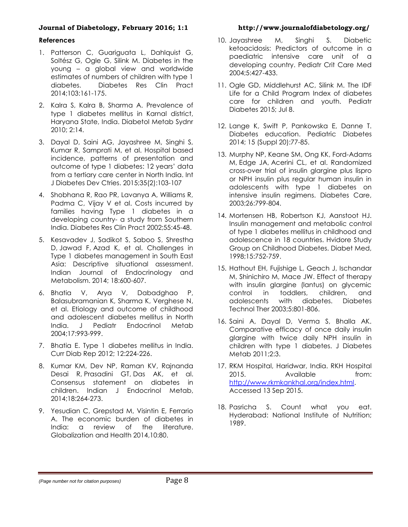#### **References**

- 1. Patterson C, Guariauata L, Dahlauist G, Soltész G, Ogle G, Silink M. Diabetes in the young – a global view and worldwide estimates of numbers of children with type 1 diabetes. Diabetes Res Clin Pract 2014;103:161-175.
- 2. Kalra S, Kalra B, Sharma A. Prevalence of type 1 diabetes mellitus in Karnal district, Haryana State, India. Diabetol Metab Sydnr 2010; 2:14.
- 3. Dayal D, Saini AG, Jayashree M, Singhi S, Kumar R, Samprati M, et al. Hospital based incidence, patterns of presentation and outcome of type 1 diabetes: 12 years' data from a tertiary care center in North India. Int J Diabetes Dev Ctries. 2015;35[\(2\):](http://link.springer.com/journal/13410/35/2/page/1)103-107
- 4. Shobhana R, Rao PR, Lavanya A, Williams R, Padma C, Vijay V et al. Costs incurred by families having Type 1 diabetes in a developing country- a study from Southern India. Diabetes Res Clin Pract 2002;55:45-48.
- 5. Kesavadev J, Sadikot S, Saboo S, [Shrestha](http://www.ncbi.nlm.nih.gov/pubmed/?term=Shrestha%20D%5BAuthor%5D&cauthor=true&cauthor_uid=25285274)  [D,](http://www.ncbi.nlm.nih.gov/pubmed/?term=Shrestha%20D%5BAuthor%5D&cauthor=true&cauthor_uid=25285274) [Jawad F,](http://www.ncbi.nlm.nih.gov/pubmed/?term=Jawad%20F%5BAuthor%5D&cauthor=true&cauthor_uid=25285274) [Azad K,](http://www.ncbi.nlm.nih.gov/pubmed/?term=Azad%20K%5BAuthor%5D&cauthor=true&cauthor_uid=25285274) et al. Challenges in Type 1 diabetes management in South East Asia: Descriptive situational assessment. Indian Journal of Endocrinology and Metabolism. 2014; 18:600-607.
- 6. Bhatia V, Arya V, Dabadghao P, Balasubramanian K, Sharma K, Verghese N, et al. Etiology and outcome of childhood and adolescent diabetes mellitus in North India. J Pediatr Endocrinol Metab 2004;17:993-999.
- 7. Bhatia E. Type 1 diabetes mellitus in India. Curr Diab Rep 2012; 12:224-226.
- 8. Kumar KM, Dev NP, Raman KV, [Rajnanda](http://www.ncbi.nlm.nih.gov/pubmed/?term=Desai%20R%5Bauth%5D)  [Desai](http://www.ncbi.nlm.nih.gov/pubmed/?term=Desai%20R%5Bauth%5D) R, [Prasadini](http://www.ncbi.nlm.nih.gov/pubmed/?term=Prasadini%20TG%5Bauth%5D) GT, Das AK, et al. Consensus statement on diabetes in children. Indian J Endocrinol Metab, 2014;18:264-273.
- 9. Yesudian C, Grepstad M, Visintin E, Ferrario A. The economic burden of diabetes in India: a review of the literature. Globalization and Health 2014,10:80.

- 10. Jayashree M, Singhi S. Diabetic ketoacidosis: Predictors of outcome in a paediatric intensive care unit of a developing country. Pediatr Crit Care Med 2004;5:427-433.
- 11. Ogle GD, Middlehurst AC, Silink M. The IDF Life for a Child Program Index of diabetes care for children and youth. Pediatr Diabetes 2015; Jul 8.
- 12. Lange K, Swift P, Pankowska E, Danne T. Diabetes education. Pediatric Diabetes 2014; 15 (Suppl 20):77-85.
- 13. Murphy NP, Keane SM, Ong KK, [Ford-Adams](http://www.ncbi.nlm.nih.gov/pubmed/?term=Ford-Adams%20M%5BAuthor%5D&cauthor=true&cauthor_uid=12610040)  [M,](http://www.ncbi.nlm.nih.gov/pubmed/?term=Ford-Adams%20M%5BAuthor%5D&cauthor=true&cauthor_uid=12610040) [Edge JA,](http://www.ncbi.nlm.nih.gov/pubmed/?term=Edge%20JA%5BAuthor%5D&cauthor=true&cauthor_uid=12610040) [Acerini CL,](http://www.ncbi.nlm.nih.gov/pubmed/?term=Acerini%20CL%5BAuthor%5D&cauthor=true&cauthor_uid=12610040) et al. Randomized cross-over trial of insulin glargine plus lispro or NPH insulin plus regular human insulin in adolescents with type 1 diabetes on intensive insulin regimens. Diabetes Care, 2003;26:799-804.
- 14. Mortensen HB, Robertson KJ, Aanstoot HJ. Insulin management and metabolic control of type 1 diabetes mellitus in childhood and adolescence in 18 countries. Hvidore Study Group on Childhood Diabetes. Diabet Med, 1998;15:752-759.
- 15. Hathout EH, Fujishige L, Geach J, Ischandar M, Shinichiro M, Mace JW. Effect of therapy with insulin glargine (lantus) on glycemic control in toddlers, children, and<br>adolescents with diabetes. Diabetes adolescents with diabetes. Diabetes Technol Ther 2003;5:801-806.
- 16. Saini A, Dayal D, Verma S, Bhalla AK. Comparative efficacy of once daily insulin glargine with twice daily NPH insulin in children with type 1 diabetes. J Diabetes Metab 2011;2:3.
- 17. RKM Hospital, Haridwar, India. RKH Hospital 2015. Available **https://windo**the.com/ [http://www.rkmkankhal.org/index.html.](http://www.rkmkankhal.org/index.html) Accessed 13 Sep 2015.
- 18. Pasricha S. Count what you eat. Hyderabad: National Institute of Nutrition; 1989.

*(Page number not for citation purposes)* Page 8